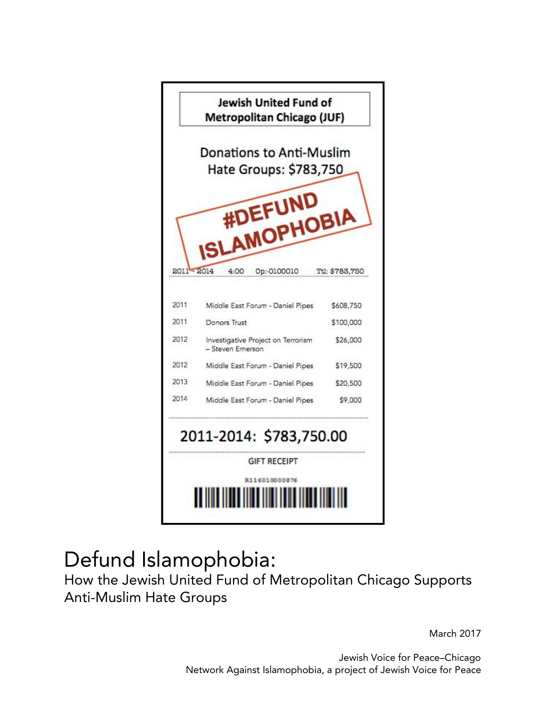

# Defund Islamophobia:

How the Jewish United Fund of Metropolitan Chicago Supports Anti-Muslim Hate Groups

March 2017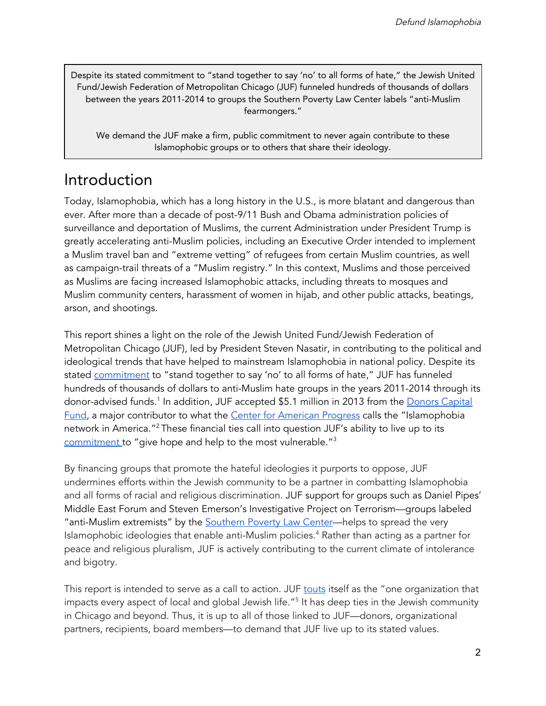Despite its stated commitment to "stand together to say 'no' to all forms of hate," the Jewish United Fund/Jewish Federation of Metropolitan Chicago (JUF) funneled hundreds of thousands of dollars between the years 2011-2014 to groups the Southern Poverty Law Center labels "anti-Muslim fearmongers."

We demand the JUF make a firm, public commitment to never again contribute to these Islamophobic groups or to others that share their ideology.

### Introduction

Today, Islamophobia, which has a long history in the U.S., is more blatant and dangerous than ever. After more than a decade of post-9/11 Bush and Obama administration policies of surveillance and deportation of Muslims, the current Administration under President Trump is greatly accelerating anti-Muslim policies, including an Executive Order intended to implement a Muslim travel ban and "extreme vetting" of refugees from certain Muslim countries, as well as campaign-trail threats of a "Muslim registry." In this context, Muslims and those perceived as Muslims are facing increased Islamophobic attacks, including threats to mosques and Muslim community centers, harassment of women in hijab, and other public attacks, beatings, arson, and shootings.

This report shines a light on the role of the Jewish United Fund/Jewish Federation of Metropolitan Chicago (JUF), led by President Steven Nasatir, in contributing to the political and ideological trends that have helped to mainstream Islamophobia in national policy. Despite its stated [commitment](https://www.juf.org/news/local.aspx?id=441648) to "stand together to say 'no' to all forms of hate," JUF has funneled hundreds of thousands of dollars to anti-Muslim hate groups in the years 2011-2014 through its donor-advised funds.<sup>1</sup> In addition, JUF accepted \$5.1 million in 2013 from the <u>[Donors](https://projects.propublica.org/nonprofits/organizations/541934032) Capital</u> [Fund,](https://projects.propublica.org/nonprofits/organizations/541934032) a major contributor to what the Center for [American](https://www.americanprogress.org/issues/religion/reports/2011/08/26/10165/fear-inc/) Progress calls the "Islamophobia network in America."<sup>2</sup> These financial ties call into question JUF's ability to live up to its [commitment](https://www.juf.org/about_juf/about.aspx) to "give hope and help to the most vulnerable."<sup>3</sup>

By financing groups that promote the hateful ideologies it purports to oppose, JUF undermines efforts within the Jewish community to be a partner in combatting Islamophobia and all forms of racial and religious discrimination. JUF support for groups such as Daniel Pipes' Middle East Forum and Steven Emerson's Investigative Project on Terrorism—groups labeled "anti-Muslim extremists" by the **[Southern](https://www.splcenter.org/20161025/journalists-manual-field-guide-anti-muslim-extremists) Poverty Law Center**—helps to spread the very Islamophobic ideologies that enable anti-Muslim policies. <sup>4</sup> Rather than acting as a partner for peace and religious pluralism, JUF is actively contributing to the current climate of intolerance and bigotry.

This report is intended to serve as a call to action. JUF [touts](https://www.juf.org/about_juf/about.aspx) itself as the "one organization that impacts every aspect of local and global Jewish life." 5 It has deep ties in the Jewish community in Chicago and beyond. Thus, it is up to all of those linked to JUF—donors, organizational partners, recipients, board members—to demand that JUF live up to its stated values.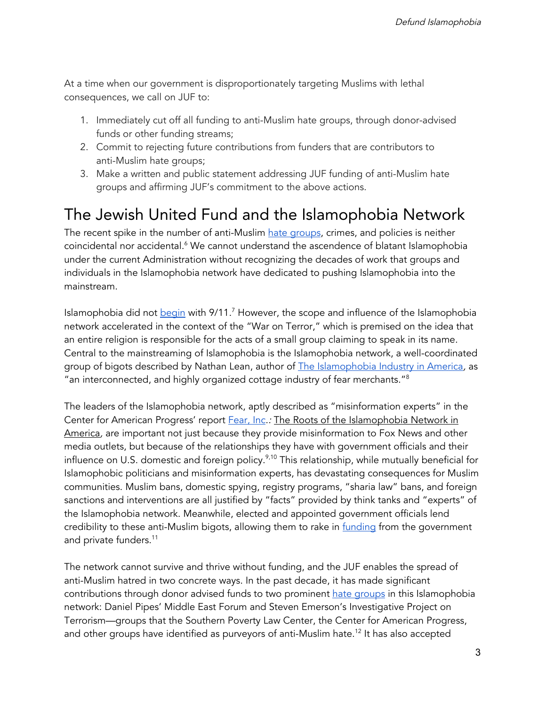At a time when our government is disproportionately targeting Muslims with lethal consequences, we call on JUF to:

- 1. Immediately cut off all funding to anti-Muslim hate groups, through donor-advised funds or other funding streams;
- 2. Commit to rejecting future contributions from funders that are contributors to anti-Muslim hate groups;
- 3. Make a written and public statement addressing JUF funding of anti-Muslim hate groups and affirming JUF's commitment to the above actions.

### The Jewish United Fund and the Islamophobia Network

The recent spike in the number of anti-Muslim hate [groups,](https://www.splcenter.org/fighting-hate/intelligence-report/2017/year-hate-and-extremism) crimes, and policies is neither coincidental nor accidental.<sup>6</sup> We cannot understand the ascendence of blatant Islamophobia under the current Administration without recognizing the decades of work that groups and individuals in the Islamophobia network have dedicated to pushing Islamophobia into the mainstream.

Islamophobia did not <u>[begin](http://religionandpolitics.org/2012/07/05/for-american-muslims-everything-did-not-change-after-911/)</u> with 9/11.<sup>7</sup> However, the scope and influence of the Islamophobia network accelerated in the context of the "War on Terror," which is premised on the idea that an entire religion is responsible for the acts of a small group claiming to speak in its name. Central to the mainstreaming of Islamophobia is the Islamophobia network, a well-coordinated group of bigots described by Nathan Lean, author of The [Islamophobia](https://nathanlean.com/books/the-islamophobia-industry/) Industry in America, as "an interconnected, and highly organized cottage industry of fear merchants."<sup>8</sup>

The leaders of the Islamophobia network, aptly described as "misinformation experts" in the Center for American Progress' report **[Fear,](https://www.americanprogress.org/iss) Inc.: The Roots of the Islamophobia Network in** America, are important not just because they provide [misinformation](http://www.mpac.org/assets/docs/publications/MPAC-25-Pseudo-Experts-On-Islam.pdf) to Fox News and other media outlets, but because of the relationships they have with government officials and their influence on U.S. domestic and foreign policy.<sup>9,10</sup> This relationship, while mutually beneficial for Islamophobic politicians and misinformation experts, has devastating consequences for Muslim communities. Muslim bans, domestic spying, registry programs, "sharia law" bans, and foreign sanctions and interventions are all justified by "facts" provided by think tanks and "experts" of the Islamophobia network. Meanwhile, elected and appointed government officials lend credibility to these anti-Muslim bigots, allowing them to rake in [funding](http://www.alternet.org/world/follow-money-islamophobia-israel-right-or-wrong) from the government and private funders. 11

The network cannot survive and thrive without funding, and the JUF enables the spread of anti-Muslim hatred in two concrete ways. In the past decade, it has made significant contributions t[h](https://www.splcenter.org/20161025/journalists-manual-field-guide-anti-muslim-extremists)rough donor advised funds to two prominent hate [groups](https://www.splcenter.org/20161025/journalists-manual-field-guide-anti-muslim-extremists) in this Islamophobia network: Daniel Pipes' Middle East Forum and Steven Emerson's Investigative Project on Terrorism—groups that the Southern Poverty Law Center, the Center for American Progress, and other groups have identified as purveyors of anti-Muslim hate. 12 It has also accepted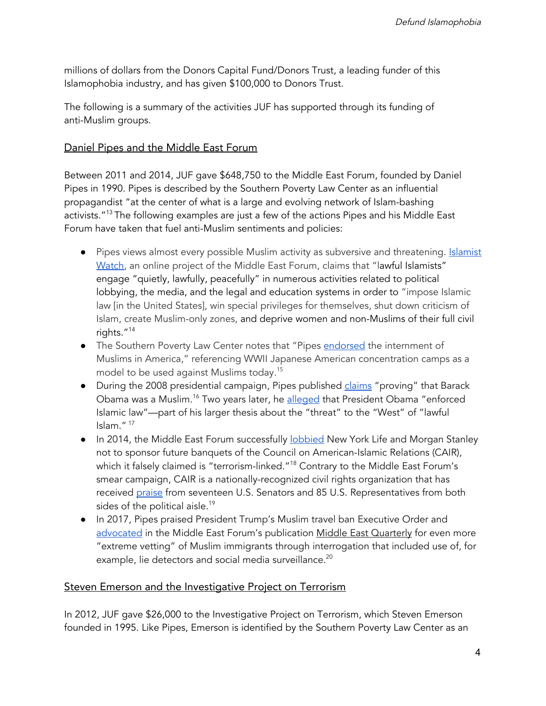millions of dollars from the Donors Capital Fund/Donors Trust, a leading funder of this Islamophobia industry, and has given \$100,000 to Donors Trust.

The following is a summary of the activities JUF has supported through its funding of anti-Muslim groups.

#### Daniel Pipes and the Middle East Forum

Between 2011 and 2014, JUF gave \$648,750 to the Middle East Forum, founded by Daniel Pipes in 1990. Pipes is described by the Southern Poverty Law Center as an influential propagandist "at the center of what is a large and evolving network of Islam-bashing activists."<sup>13</sup> The following examples are just a few of the actions Pipes and his Middle East Forum have taken that fuel anti-Muslim sentiments and policies:

- Pipes views almost every possible Muslim activity as subversive and threatening. **[Islamist](http://www.islamist-watch.org/about.php)** [Watch,](http://www.islamist-watch.org/about.php) an online project of the Middle East Forum, claims that "lawful Islamists" engage "quietly, lawfully, peacefully" in numerous activities related to political lobbying, the media, and the legal and education systems in order to "impose Islamic law [in the United States], win special privileges for themselves, shut down criticism of Islam, create Muslim-only zones, and deprive women and non-Muslims of their full civil rights." 14
- The Southern Poverty Law Center notes that "Pipe[s](https://www.splcenter.org/20161025/journalists-manual-field-guide-anti-muslim-extremists#pipes) [endorsed](https://www.splcenter.org/20161025/journalists-manual-field-guide-anti-muslim-extremists#pipes) the internment of Muslims in America," referencing WWII Japanese American concentration camps as a model to be used against Muslims today. 15
- During the 2008 presidential campaign, Pipes published [claims](http://www.danielpipes.org/5354/confirmed-barack-obama-practiced-islam) "proving" that Barack Obama was a Muslim.<sup>16</sup> Two years later, he <u>[alleged](http://www.washingtontimes.com/news/2010/sep/20/rushdie-rules-reach-florida/)</u> that President Obama "enforced Islamic law"—part of his larger thesis about the "threat" to the "West" of "lawful Islam." 17
- In 2014, the Middle East Forum successfully [lobbied](http://www.meforum.org/accomplishments.php) New York Life and Morgan Stanley not to sponsor future banquets of the Council on American-Islamic Relations (CAIR), which it falsely claimed is "terrorism-linked." <sup>18</sup> Contrary to the Middle East Forum's smear campaign, CAIR is a nationally-recognized civil rights organization that has received [praise](http://www.islamophobia.org/14-about/184-what-they-say-about-cair.html) from seventeen U.S. Senators and 85 U.S. Representatives from both sides of the political aisle. 19
- In 2017, Pipes praised President Trump's Muslim travel ban Executive Order and [advocated](http://www.meforum.org/6505/smoking-out-islamists-via-extreme-vetting) in the Middle East Forum's publication Middle East Quarterly for even more "extreme vetting" of Muslim immigrants through interrogation that included use of, for example, lie detectors and social media surveillance. 20

#### Steven Emerson and the Investigative Project on Terrorism

In 2012, JUF gave \$26,000 to the Investigative Project on Terrorism, which Steven Emerson founded in 1995. Like Pipes, Emerson is identified by the Southern Poverty Law Center as an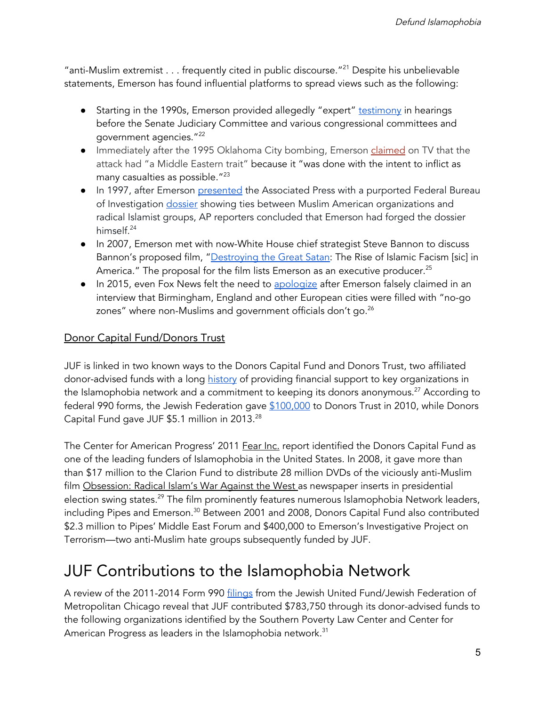"anti-Muslim extremist . . . frequently cited in public discourse." <sup>21</sup> Despite his unbelievable statements, Emerson has found influential platforms to spread views such as the following:

- Starting in the 1990s, Emerson provided allegedly "expert" [testimony](http://rightweb.irc-online.org/profile/emerson_steven/) in hearings before the Senate Judiciary Committee and various congressional committees and government agencies." 22
- Immediately after the 1995 Oklahoma City bombi[n](http://fair.org/extra/steven-emersons-crusade/)g, Emerson [claimed](http://fair.org/extra/steven-emersons-crusade/) on TV that the attack had "a Middle Eastern trait" because it "was done with the intent to inflict as many casualties as possible." 23
- In 1997, after Emerson [presented](http://fair.org/extra/steven-emersons-crusade/) the Associated Press with a purported Federal Bureau of I[n](https://islamophobianetwork.com/misinformation-expert/steven-emerson)vestigation [dossier](https://islamophobianetwork.com/misinformation-expert/steven-emerson) showing ties between Muslim American organizations and radical Islamist groups, AP reporters concluded that Emerson had forged the dossier himself. 24
- In 2007, Emerson met with now-White House chief strategist Steve Bannon to discuss Bannon's proposed film, ["Destroying](https://www.washingtonpost.com/politics/bannon-film-outline-warned-us-could-turn-into-islamic-states-of-america/2017/02/03/f73832f4-e8be-11e6-b82f-687d6e6a3e7c_story.html?utm_term=.6cacc179d9ef) the Great Satan: The Rise of Islamic Facism [sic] in America." The proposal for the film lists Emerson as an executive producer. $^{25}$
- In 2015, even F[o](https://www.washingtonpost.com/blogs/erik-wemple/wp/2015/01/18/fox-news-corrects-apologizes-for-no-go-zone-remarks/?utm_term=.c5772b78f6d1)x News felt the need to [apologize](https://www.washingtonpost.com/blogs/erik-wemple/wp/2015/01/18/fox-news-corrects-apologizes-for-no-go-zone-remarks/?utm_term=.c5772b78f6d1) after Emerson falsely claimed in an interview that Birmingham, England and other European cities were filled with "no-go zones" where non-Muslims and government officials don't go. $^{26}$

#### Donor Capital Fund/Donors Trust

JUF is linked in two known ways to the Donors Capital Fund and Donors Trust, two affiliated donor-advised funds with a lon[g](https://islamophobianetwork.com/funder/donors-capital-fund-and-donors-trust) [history](https://islamophobianetwork.com/funder/donors-capital-fund-and-donors-trust) of providing financial support to key organizations in the Islamophobia network and a commitment to keeping its donors anonymous. <sup>27</sup> According to f[e](https://projects.propublica.org/nonprofits/organizations/362167761)deral 990 forms, the Jewish Federation gave [\\$100,000](https://projects.propublica.org/nonprofits/organizations/362167761) to Donors Trust in 2010, while Donors Capital Fund gave JUF \$5.1 million in 2013. 28

The Center for American Progress' 2011 Fear Inc. report identified the Donors Capital Fund as one of the leading funders of Islamophobia in the United States. In 2008, it gave more than than \$17 million to the Clarion Fund to distribute 28 million DVDs of the viciously anti-Muslim film Obsession: Radical Islam's War Against the West as newspaper inserts in presidential election swing states.<sup>29</sup> The film prominently features numerous Islamophobia Network leaders, including Pipes and Emerson.<sup>30</sup> Between 2001 and 2008, Donors Capital Fund also contributed \$2.3 million to Pipes' Middle East Forum and \$400,000 to Emerson's Investigative Project on Terrorism—two anti-Muslim hate groups subsequently funded by JUF.

## JUF Contributions to the Islamophobia Network

A review of the 2011-2014 Form 990 [filings](https://projects.propublica.org/nonprofits/organizations/362167761) from the Jewish United Fund/Jewish Federation of Metropolitan Chicago reveal that JUF contributed \$783,750 through its donor-advised funds to the following organizations identified by the Southern Poverty Law Center and Center for American Progress as leaders in the Islamophobia network.<sup>31</sup>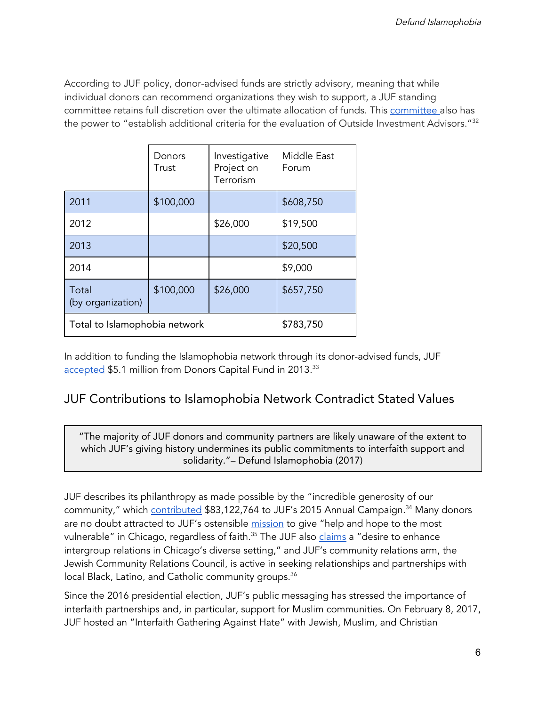According to JUF policy, donor-advised funds are strictly advisory, meaning that while individual donors can recommend organizations they wish to support, a JUF standing committee retains full discretion over the ultimate allocation of funds. This [committee](https://www.juf.org/uploadedFiles/Planned_Giving/POLICIES_PROCEDURES.pdf) also has the power to "establish additional criteria for the evaluation of Outside Investment Advisors." 32

|                               | Donors<br>Trust | Investigative<br>Project on<br>Terrorism | Middle East<br>Forum |
|-------------------------------|-----------------|------------------------------------------|----------------------|
| 2011                          | \$100,000       |                                          | \$608,750            |
| 2012                          |                 | \$26,000                                 | \$19,500             |
| 2013                          |                 |                                          | \$20,500             |
| 2014                          |                 |                                          | \$9,000              |
| Total                         | \$100,000       | \$26,000                                 | \$657,750            |
| (by organization)             |                 |                                          |                      |
| Total to Islamophobia network |                 |                                          | \$783,750            |

In addition to funding the Islamophobia network through its donor-advised funds, JUF [accepted](https://projects.propublica.org/nonprofits/organizations/541934032) \$5.1 million from Donors Capital Fund in 2013.<sup>33</sup>

#### JUF Contributions to Islamophobia Network Contradict Stated Values

"The majority of JUF donors and community partners are likely unaware of the extent to which JUF's giving history undermines its public commitments to interfaith support and solidarity."– Defund Islamophobia (2017)

JUF describes its philanthropy as made possible by the "incredible generosity of our community," which <u>[contributed](https://jufwebfiles.org/pdf/annual_report/2016/jf-annual-report-2016.pdf)</u> \$83,122,764 to JUF's 2015 Annual Campaign.<sup>34</sup> Many donors are no doubt attracted to JUF's ostensible [mission](https://www.juf.org/about_juf/about.aspx) to give "help and hope to the most vulnerable" in Chicago, regardless of faith.<sup>35</sup> The JUF also <u>[claims](http://www.juf.org/jcrc/intergroup.aspx)</u> a "desire to enhance intergroup relations in Chicago's diverse setting," and JUF's community relations arm, the Jewish Community Relations Council, is active in seeking relationships and partnerships with local Black, Latino, and Catholic community groups. 36

Since the 2016 presidential election, JUF's public messaging has stressed the importance of interfaith partnerships and, in particular, support for Muslim communities. On February 8, 2017, JUF hosted an "Interfaith Gathering Against Hate" with Jewish, Muslim, and Christian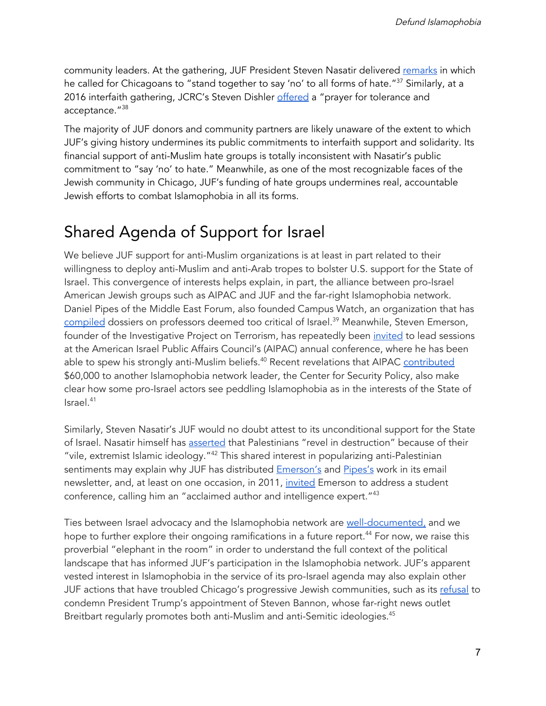community leaders. At the gathering, JUF President Steven Nasatir delivered [remarks](http://www.juf.org/news/local.aspx?id=441648) in which he called for Chicagoans to "stand together to say 'no' to all forms of hate."<sup>37</sup> Similarly, at a 2016 interfaith gathering, JCRC's Steven Dishler [offered](https://www.cfje.org/interactive/default.aspx?id=439512) a "prayer for tolerance and acceptance." 38

The majority of JUF donors and community partners are likely unaware of the extent to which JUF's giving history undermines its public commitments to interfaith support and solidarity. Its financial support of anti-Muslim hate groups is totally inconsistent with Nasatir's public commitment to "say 'no' to hate." Meanwhile, as one of the most recognizable faces of the Jewish community in Chicago, JUF's funding of hate groups undermines real, accountable Jewish efforts to combat Islamophobia in all its forms.

### Shared Agenda of Support for Israel

We believe JUF support for anti-Muslim organizations is at least in part related to their willingness to deploy anti-Muslim and anti-Arab tropes to bolster U.S. support for the State of Israel. This convergence of interests helps explain, in part, the alliance between pro-Israel American Jewish groups such as AIPAC and JUF and the far-right Islamophobia network. Daniel Pipes of the Middle East Forum, also founded Campus Watch, an organization that has [compiled](http://www.nytimes.com/2002/09/27/us/web-site-fuels-debate-on-campus-anti-semitism.html) dossiers on professors deemed too critical of Israel.<sup>39</sup> Meanwhile, Steven Emerson, founder of the Investigative Project on Terrorism, has repeatedly been [invited](https://www.thenation.com/article/emerson-aipac-islmophobia/) to lead sessions at the American Israel Public Affairs Council's (AIPAC) annual conference, where he has been able to spew his strongly anti-Muslim beliefs.<sup>40</sup> Recent revelations that AIPAC [contributed](http://www.jta.org/2017/03/15/news-opinion/politics/aipac-paid-60000-to-group-that-peddles-anti-muslim-conspiracy-theories) \$60,000 to another Islamophobia network leader, the Center for Security Policy, also make clear how some pro-Israel actors see peddling Islamophobia as in the interests of the State of Israel. 41

Similarly, Steven Nasatir's JUF would no doubt attest to its unconditional support for the State of Israel. Nasatir himself has [asserted](http://forward.com/opinion/13125/a-passover-lesson-for-the-palestinians-01639/?attribution=author-article-listing-1-headline) that Palestinians "revel in destruction" because of their "vile, extremist Islamic ideology." <sup>42</sup> This shared interest in popularizing anti-Palestinian sentiments may explain why JUF has distributed **[Emerson's](http://www.juf.org/ealert/ealert.aspx?id=27730) and [Pipes's](https://www.juf.org/ealert/ealert.aspx?id=8478) work in its email** newsletter, and, at least on one occasion, in 2011, [invited](http://www.juf.org/college/newsletters/default2.aspx?id=70196) Emerson to address a student conference, calling him an "acclaimed author and intelligence expert." 43

Ties between Israel advocacy and the Islamophobia network are [well-documented,](http://www.alternet.org/world/follow-money-islamophobia-israel-right-or-wrong) and we hope to further explore their ongoing ramifications in a future report. <sup>44</sup> For now, we raise this proverbial "elephant in the room" in order to understand the full context of the political landscape that has informed JUF's participation in the Islamophobia network. JUF's apparent vested interest in Islamophobia in the service of its pro-Israel agenda may also explain other JUF actions that have troubled Chicago's progressive Jewish communities, such as its [refusal](http://www.chicagobusiness.com/article/20161209/OPINION/161209832/why-is-chicagos-influential-jewish-united-fund-still-silent-on-bannon) to condemn President Trump's appointment of Steven Bannon, whose far-right news outlet Breitbart regularly promotes both anti-Muslim and anti-Semitic ideologies. 45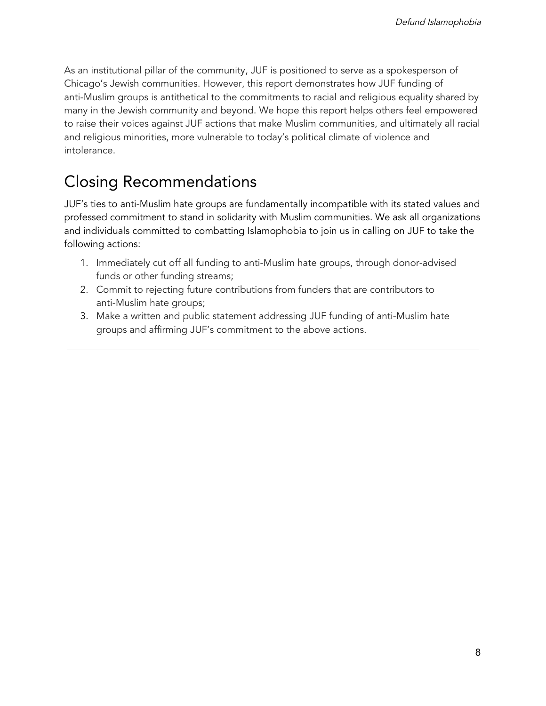As an institutional pillar of the community, JUF is positioned to serve as a spokesperson of Chicago's Jewish communities. However, this report demonstrates how JUF funding of anti-Muslim groups is antithetical to the commitments to racial and religious equality shared by many in the Jewish community and beyond. We hope this report helps others feel empowered to raise their voices against JUF actions that make Muslim communities, and ultimately all racial and religious minorities, more vulnerable to today's political climate of violence and intolerance.

# Closing Recommendations

JUF's ties to anti-Muslim hate groups are fundamentally incompatible with its stated values and professed commitment to stand in solidarity with Muslim communities. We ask all organizations and individuals committed to combatting Islamophobia to join us in calling on JUF to take the following actions:

- 1. Immediately cut off all funding to anti-Muslim hate groups, through donor-advised funds or other funding streams;
- 2. Commit to rejecting future contributions from funders that are contributors to anti-Muslim hate groups;
- 3. Make a written and public statement addressing JUF funding of anti-Muslim hate groups and affirming JUF's commitment to the above actions.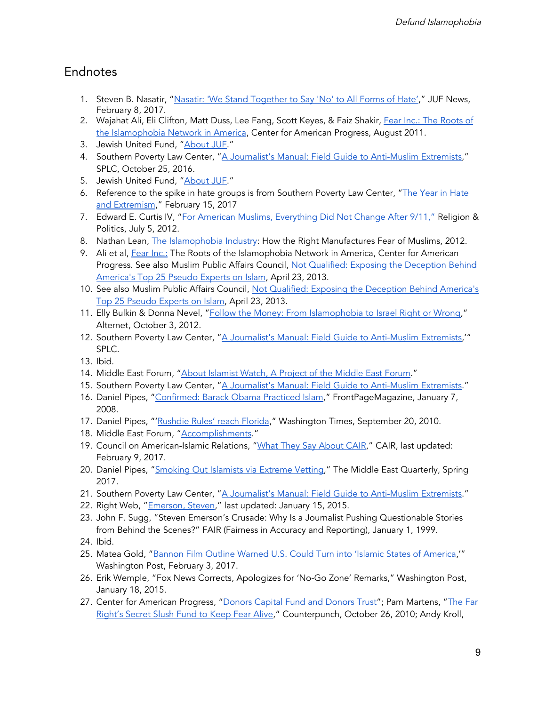#### Endnotes

- 1. Steven B. Nasatir, "Nasatir: 'We Stand [Together](https://www.juf.org/news/local.aspx?id=441648) to Say 'No' to All Forms of Hate'," JUF News, February 8, 2017.
- 2. Wajahat Ali, Eli Clifton, Matt Duss, Lee Fang, Scott Keyes, & Faiz Shakir, Fear Inc.: The [Roots](https://www.americanprogress.org/issues/religion/reports/2011/08/26/10165/fear-inc/) of the [Islamophobia](https://www.americanprogress.org/issues/religion/reports/2011/08/26/10165/fear-inc/) Network in America, Center for American Progress, August 2011.
- 3. Jewish United Fund, ["About](https://www.juf.org/about_juf/about.aspx) JUF."
- 4. Southern Poverty Law Center, "A Journalist's Manual: Field Guide to [Anti-Muslim](https://www.splcenter.org/20161025/journalists-manual-field-guide-anti-muslim-extremists) Extremists," SPLC, October 25, 2016.
- 5. Jewish United Fund, ["About](https://www.juf.org/about_juf/about.aspx) JUF."
- 6. Reference to the spike in hate groups is from Southern Poverty Law Center, "The Year in [Hate](https://www.splcenter.org/fighting-hate/intelligence-report/2017/year-hate-and-extremism) and [Extremism,](https://www.splcenter.org/fighting-hate/intelligence-report/2017/year-hate-and-extremism)" February 15, 2017
- 7. Edward E. Curtis IV, "For American Muslims, [Everything](http://religionandpolitics.org/2012/07/05/for-american-muslims-everything-did-not-change-after-911/) Did Not Change After 9/11," Religion & Politics, July 5, 2012.
- 8. Nathan Lean, The [Islamophobia](https://nathanlean.com/books/the-islamophobia-industry/) Industry: How the Right Manufactures Fear of Muslims, 2012.
- 9. Ali et al, [Fear](http://www.americanprogress.org/issues/2011/08/pdf/islamophobia.pdf) Inc.: The Roots of the Islamophobia Network in America, Center for American Progress. See also Muslim Public Affairs Council[,](http://www.mpac.org/assets/docs/publications/MPAC-25-Pseudo-Experts-On-Islam.pdf) Not Qualified: Exposing the [Deception](http://www.mpac.org/assets/docs/publications/MPAC-25-Pseudo-Experts-On-Islam.pdf) Behind [America's](http://www.mpac.org/assets/docs/publications/MPAC-25-Pseudo-Experts-On-Islam.pdf) Top 25 Pseudo Experts on Islam, April 23, 2013.
- 10. See also Muslim Public Affairs Council, [N](http://www.mpac.org/assets/docs/publications/MPAC-25-Pseudo-Experts-On-Islam.pdf)ot Qualified: Exposing the [Deception](http://www.mpac.org/assets/docs/publications/MPAC-25-Pseudo-Experts-On-Islam.pdf) Behind America's Top 25 Pseudo [Experts](http://www.mpac.org/assets/docs/publications/MPAC-25-Pseudo-Experts-On-Islam.pdf) on Islam, April 23, 2013.
- 11. Elly Bulkin & Donna Nevel, "Follow the Money: From [Islamophobia](http://www.alternet.org/world/follow-money-islamophobia-israel-right-or-wrong) to Israel Right or Wrong," Alternet, October 3, 2012.
- 12. Southern Poverty Law Center, "A Journalist's Manual: Field Guide to [Anti-Muslim](https://www.splcenter.org/20161025/journalists-manual-field-guide-anti-muslim-extremists#pipes) Extremists," SPLC.
- 13. Ibid.
- 14. Middle East Forum, "About [Islamist](http://www.islamist-watch.org/about.php) Watch, A Project of the Middle East Forum."
- 15. Southern Poverty Law Center, "A Journalist's Manual: Field Guide to [Anti-Muslim](https://www.splcenter.org/20161025/journalists-manual-field-guide-anti-muslim-extremists#pipes) Extremists."
- 16. Daniel Pipes, ["Confirmed:](http://www.danielpipes.org/5354/confirmed-barack-obama-practiced-islam) Barack Obama Practiced Islam," FrontPageMagazine, January 7, 2008.
- 17. Daniel Pipes, "['Rushdie](http://www.washingtontimes.com/news/2010/sep/20/rushdie-rules-reach-florida/) Rules' reach Florida," Washington Times, September 20, 2010.
- 18. Middle East Forum, ["Accomplishments.](http://www.meforum.org/accomplishments.php)"
- 19. Council on American-Islamic Relations, "What They Say [About](http://www.islamophobia.org/14-about/184-what-they-say-about-cair.html) CAIR," CAIR, last updated: February 9, 2017.
- 20. Daniel Pipes, ["Smoking](http://www.meforum.org/6505/smoking-out-islamists-via-extreme-vetting) Out Islamists via Extreme Vetting," The Middle East Quarterly, Spring 2017.
- 21. Southern Poverty Law Center, "A Journalist's Manual: Field Guide to [Anti-Muslim](https://www.splcenter.org/20161025/journalists-manual-field-guide-anti-muslim-extremists#pipes) Extremists."
- 22. Right Web, "[Emerson,](http://rightweb.irc-online.org/profile/emerson_steven/) Steven," last updated: January 15, 2015.
- 23. John F. Sugg, "Steven Emerson's Crusade: Why Is a Journalist Pushing Questionable Stories from Behind the Scenes?" FAIR (Fairness in Accuracy and Reporting), January 1, 1999.
- 24. Ibid.
- 25. Matea Gold, "Bannon Film Outline Warned U.S. Could Turn into 'Islamic States of [America,](https://www.washingtonpost.com/politics/bannon-film-outline-warned-us-could-turn-into-islamic-states-of-america/2017/02/03/f73832f4-e8be-11e6-b82f-687d6e6a3e7c_story.html?utm_term=.ed742dd49f9d)'" Washington Post, February 3, 2017.
- 26. Erik Wemple, "Fox News Corrects, Apologizes for 'No-Go Zone' Remarks," Washington Post, January 18, 2015.
- 27. Center for American Progress, ["Donors](https://islamophobianetwork.com/funder/donors-capital-fund-and-donors-trust) Capital Fund and Donors Trust"; Pam Martens, ["The](http://www.counterpunch.org/2010/10/26/the-far-right-s-secret-slush-fund-to-keep-fear-alive/) Far [Right's](http://www.counterpunch.org/2010/10/26/the-far-right-s-secret-slush-fund-to-keep-fear-alive/) Secret Slush Fund to Keep Fear Alive," Counterpunch, October 26, 2010; Andy Kroll,